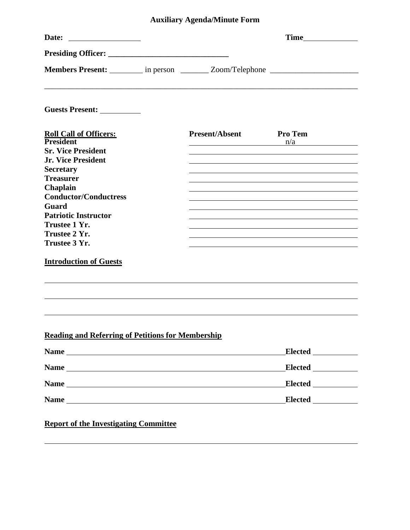## **Auxiliary Agenda/Minute Form**

|                                                          | Members Present: ________ in person ________ Zoom/Telephone ____________________ |
|----------------------------------------------------------|----------------------------------------------------------------------------------|
| Guests Present: ____________                             |                                                                                  |
| <b>Roll Call of Officers:</b>                            | <b>Present/Absent</b><br><b>Pro Tem</b>                                          |
| <b>President</b><br><b>Sr. Vice President</b>            | n/a                                                                              |
| <b>Jr. Vice President</b>                                |                                                                                  |
| <b>Secretary</b>                                         |                                                                                  |
| <b>Treasurer</b>                                         |                                                                                  |
| Chaplain                                                 |                                                                                  |
| <b>Conductor/Conductress</b>                             |                                                                                  |
| Guard                                                    |                                                                                  |
| <b>Patriotic Instructor</b>                              |                                                                                  |
| Trustee 1 Yr.                                            |                                                                                  |
| Trustee 2 Yr.                                            |                                                                                  |
| Trustee 3 Yr.                                            |                                                                                  |
| <b>Introduction of Guests</b>                            |                                                                                  |
|                                                          |                                                                                  |
| <b>Reading and Referring of Petitions for Membership</b> |                                                                                  |
|                                                          |                                                                                  |
|                                                          |                                                                                  |
|                                                          |                                                                                  |
|                                                          | Elected _____________                                                            |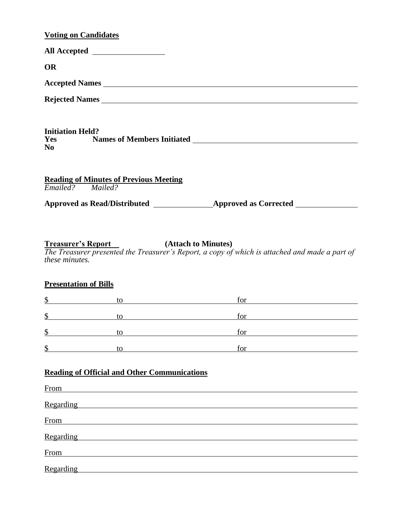## **Voting on Candidates**

|                                           | All Accepted __________________               |                                                                                                                                                 |
|-------------------------------------------|-----------------------------------------------|-------------------------------------------------------------------------------------------------------------------------------------------------|
| <b>OR</b>                                 |                                               |                                                                                                                                                 |
|                                           |                                               |                                                                                                                                                 |
|                                           |                                               | Rejected Names                                                                                                                                  |
| <b>Initiation Held?</b><br>N <sub>0</sub> |                                               |                                                                                                                                                 |
| Emailed? Mailed?                          | <b>Reading of Minutes of Previous Meeting</b> |                                                                                                                                                 |
| these minutes.                            |                                               | <b>Treasurer's Report</b> (Attach to Minutes)<br>The Treasurer presented the Treasurer's Report, a copy of which is attached and made a part of |
| <b>Presentation of Bills</b>              |                                               |                                                                                                                                                 |
| $\frac{1}{2}$                             | to                                            | $for$ $\qquad \qquad$<br><u> 1980 - Johann Barn, mars ar breithinn ar chuid ann an t-Alban ann an t-Alban ann an t-Alban ann an t-Alban a</u>   |

| ╓<br>◡  | ГO1 |
|---------|-----|
| Φ<br>۰D | for |
| ¢<br>۰D | tor |

|  |  | <b>Reading of Official and Other Communications</b> |
|--|--|-----------------------------------------------------|
|  |  |                                                     |

| From      |
|-----------|
| Regarding |
| From      |
| Regarding |
| From      |
| Regarding |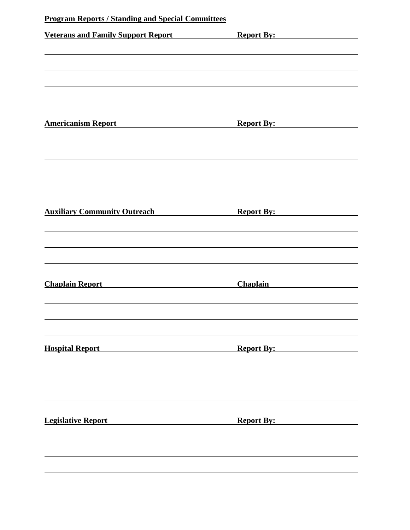| <b>Program Reports / Standing and Special Committees</b> |                   |
|----------------------------------------------------------|-------------------|
| <b>Veterans and Family Support Report</b>                | <b>Report By:</b> |
|                                                          |                   |
|                                                          |                   |
|                                                          |                   |
|                                                          |                   |
|                                                          |                   |
| <b>Americanism Report</b>                                | <b>Report By:</b> |
|                                                          |                   |
|                                                          |                   |
|                                                          |                   |
|                                                          |                   |
|                                                          |                   |
| <b>Auxiliary Community Outreach</b>                      | <b>Report By:</b> |
|                                                          |                   |
|                                                          |                   |
|                                                          |                   |
|                                                          |                   |
| <b>Chaplain Report</b>                                   | <b>Chaplain</b>   |
|                                                          |                   |
|                                                          |                   |
|                                                          |                   |
|                                                          |                   |
| <b>Hospital Report</b>                                   | <b>Report By:</b> |
|                                                          |                   |
|                                                          |                   |
|                                                          |                   |
|                                                          |                   |
| <b>Legislative Report</b>                                | <b>Report By:</b> |
|                                                          |                   |
|                                                          |                   |
|                                                          |                   |
|                                                          |                   |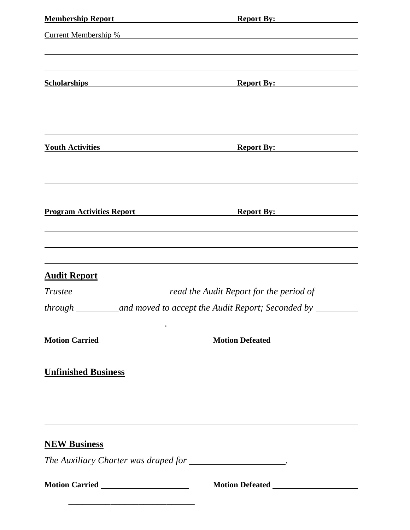| <b>Membership Report</b> Membership Report                                                                                                                                                               | Report By:                                                                       |
|----------------------------------------------------------------------------------------------------------------------------------------------------------------------------------------------------------|----------------------------------------------------------------------------------|
|                                                                                                                                                                                                          |                                                                                  |
|                                                                                                                                                                                                          |                                                                                  |
| <b>Scholarships Scholarships Scholarships Scholarships Scholarships Scholarships Scholarships Scholarships Scholarships Scholarships Scholarships Scholarships Scholarships Scholarships Scholarship</b> | <b>Report By:</b>                                                                |
|                                                                                                                                                                                                          |                                                                                  |
|                                                                                                                                                                                                          |                                                                                  |
| <b>Touth Activities</b>                                                                                                                                                                                  | <b>Report By:</b>                                                                |
|                                                                                                                                                                                                          |                                                                                  |
|                                                                                                                                                                                                          |                                                                                  |
|                                                                                                                                                                                                          |                                                                                  |
|                                                                                                                                                                                                          |                                                                                  |
| <b>Audit Report</b>                                                                                                                                                                                      |                                                                                  |
|                                                                                                                                                                                                          |                                                                                  |
| through                                                                                                                                                                                                  | and moved to accept the Audit Report; Seconded by                                |
|                                                                                                                                                                                                          |                                                                                  |
| <b>Unfinished Business</b>                                                                                                                                                                               |                                                                                  |
|                                                                                                                                                                                                          |                                                                                  |
|                                                                                                                                                                                                          | ,我们也不会有什么。""我们的人,我们也不会有什么?""我们的人,我们也不会有什么?""我们的人,我们也不会有什么?""我们的人,我们也不会有什么?""我们的人 |
| <b>NEW Business</b>                                                                                                                                                                                      |                                                                                  |
| The Auxiliary Charter was draped for _____________________.                                                                                                                                              |                                                                                  |
|                                                                                                                                                                                                          |                                                                                  |
|                                                                                                                                                                                                          |                                                                                  |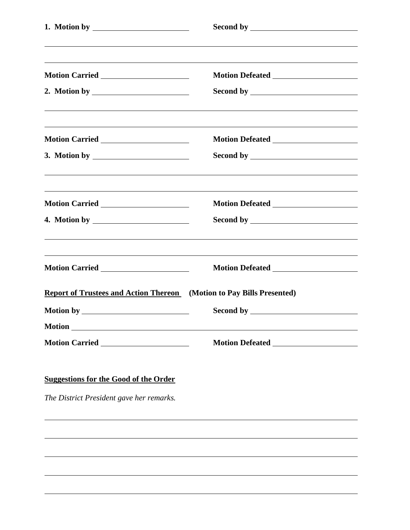|                                                                              | ,我们也不会有什么。""我们的人,我们也不会有什么?""我们的人,我们也不会有什么?""我们的人,我们也不会有什么?""我们的人,我们也不会有什么?""我们的人 |  |  |
|------------------------------------------------------------------------------|----------------------------------------------------------------------------------|--|--|
|                                                                              |                                                                                  |  |  |
|                                                                              |                                                                                  |  |  |
|                                                                              |                                                                                  |  |  |
|                                                                              |                                                                                  |  |  |
|                                                                              |                                                                                  |  |  |
|                                                                              |                                                                                  |  |  |
| <b>Report of Trustees and Action Thereon</b> (Motion to Pay Bills Presented) |                                                                                  |  |  |
|                                                                              |                                                                                  |  |  |
|                                                                              |                                                                                  |  |  |
|                                                                              | Motion Defeated National Secretary Analysis of the Motion Defeated               |  |  |

## **Suggestions for the Good of the Order**

*The District President gave her remarks.*